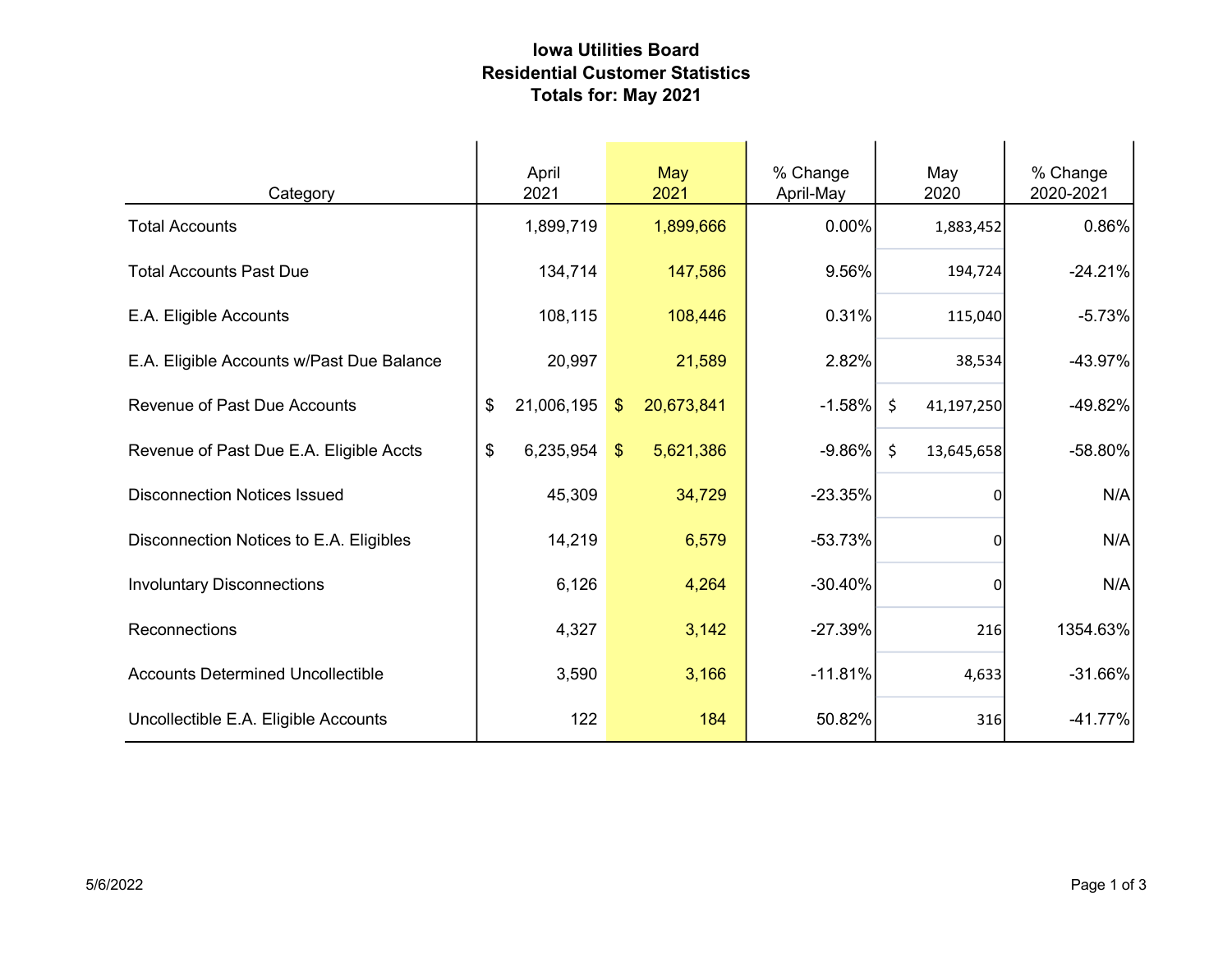## Iowa Utilities Board Residential Customer Statistics Totals for: May 2021

| Category                                  | April<br>2021    |               | May<br>2021 | % Change<br>April-May | May<br>2020           | % Change<br>2020-2021 |
|-------------------------------------------|------------------|---------------|-------------|-----------------------|-----------------------|-----------------------|
| <b>Total Accounts</b>                     | 1,899,719        |               | 1,899,666   | 0.00%                 | 1,883,452             | 0.86%                 |
| <b>Total Accounts Past Due</b>            | 134,714          |               | 147,586     | 9.56%                 | 194,724               | $-24.21%$             |
| E.A. Eligible Accounts                    | 108,115          |               | 108,446     | 0.31%                 | 115,040               | $-5.73%$              |
| E.A. Eligible Accounts w/Past Due Balance | 20,997           |               | 21,589      | 2.82%                 | 38,534                | $-43.97%$             |
| <b>Revenue of Past Due Accounts</b>       | 21,006,195<br>\$ | $\sqrt[6]{3}$ | 20,673,841  | $-1.58%$              | $\zeta$<br>41,197,250 | $-49.82%$             |
| Revenue of Past Due E.A. Eligible Accts   | \$<br>6,235,954  | $\mathcal{S}$ | 5,621,386   | $-9.86\%$             | $\zeta$<br>13,645,658 | -58.80%               |
| <b>Disconnection Notices Issued</b>       | 45,309           |               | 34,729      | $-23.35%$             | $\Omega$              | N/A                   |
| Disconnection Notices to E.A. Eligibles   | 14,219           |               | 6,579       | $-53.73%$             | $\Omega$              | N/A                   |
| <b>Involuntary Disconnections</b>         | 6,126            |               | 4,264       | $-30.40%$             | 0l                    | N/A                   |
| Reconnections                             | 4,327            |               | 3,142       | $-27.39%$             | 216                   | 1354.63%              |
| <b>Accounts Determined Uncollectible</b>  | 3,590            |               | 3,166       | $-11.81%$             | 4,633                 | $-31.66%$             |
| Uncollectible E.A. Eligible Accounts      | 122              |               | 184         | 50.82%                | 316                   | $-41.77%$             |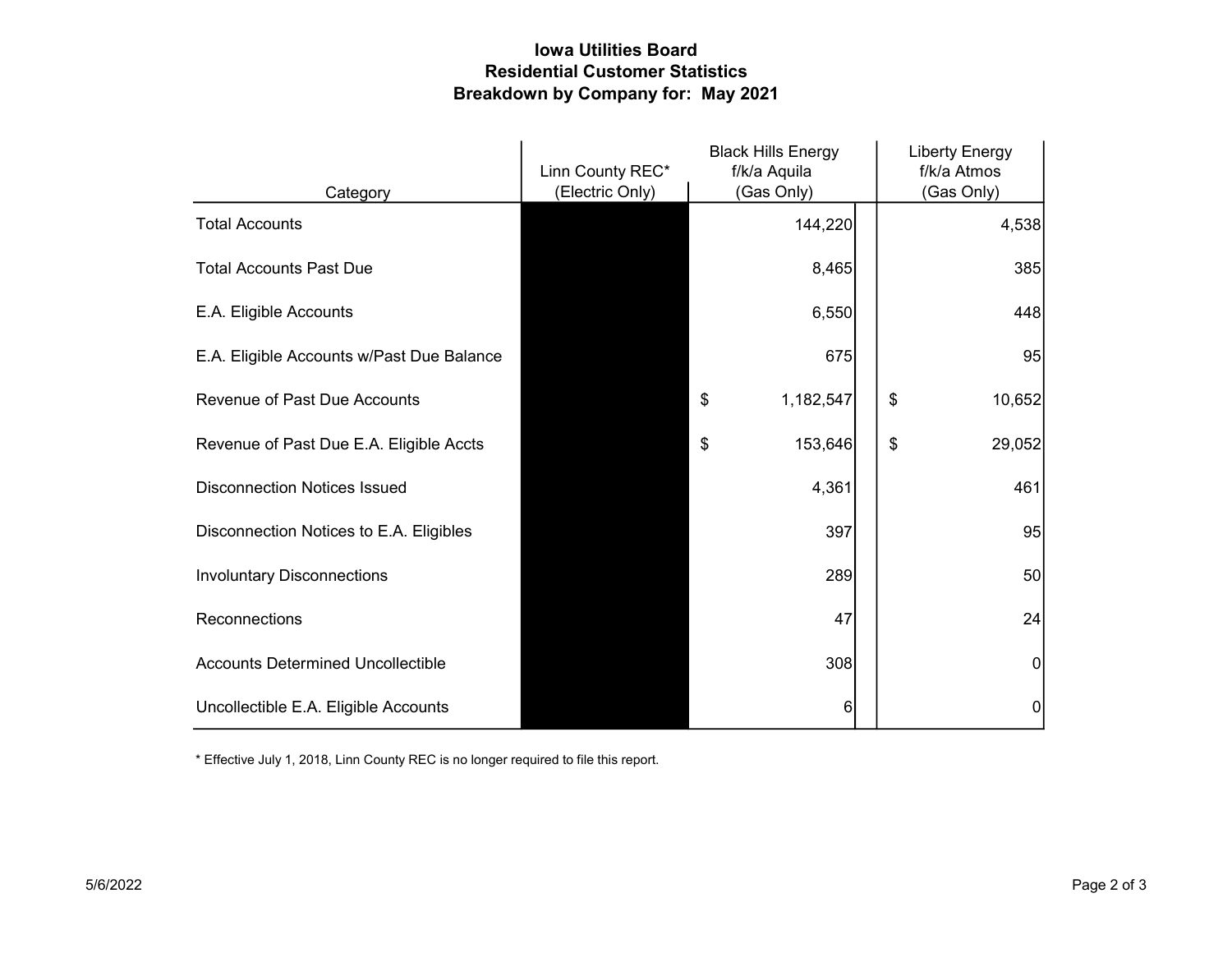## Iowa Utilities Board Residential Customer Statistics Breakdown by Company for: May 2021

|                                           | Linn County REC* | <b>Black Hills Energy</b><br>f/k/a Aquila | <b>Liberty Energy</b><br>f/k/a Atmos |
|-------------------------------------------|------------------|-------------------------------------------|--------------------------------------|
| Category                                  | (Electric Only)  | (Gas Only)                                | (Gas Only)                           |
| <b>Total Accounts</b>                     |                  | 144,220                                   | 4,538                                |
| <b>Total Accounts Past Due</b>            |                  | 8,465                                     | 385                                  |
| E.A. Eligible Accounts                    |                  | 6,550                                     | 448                                  |
| E.A. Eligible Accounts w/Past Due Balance |                  | 675                                       | 95                                   |
| <b>Revenue of Past Due Accounts</b>       |                  | \$<br>1,182,547                           | \$<br>10,652                         |
| Revenue of Past Due E.A. Eligible Accts   |                  | 153,646<br>\$                             | \$<br>29,052                         |
| <b>Disconnection Notices Issued</b>       |                  | 4,361                                     | 461                                  |
| Disconnection Notices to E.A. Eligibles   |                  | 397                                       | 95                                   |
| <b>Involuntary Disconnections</b>         |                  | 289                                       | 50                                   |
| Reconnections                             |                  | 47                                        | 24                                   |
| <b>Accounts Determined Uncollectible</b>  |                  | 308                                       | 0                                    |
| Uncollectible E.A. Eligible Accounts      |                  | 6                                         | 0                                    |

\* Effective July 1, 2018, Linn County REC is no longer required to file this report.